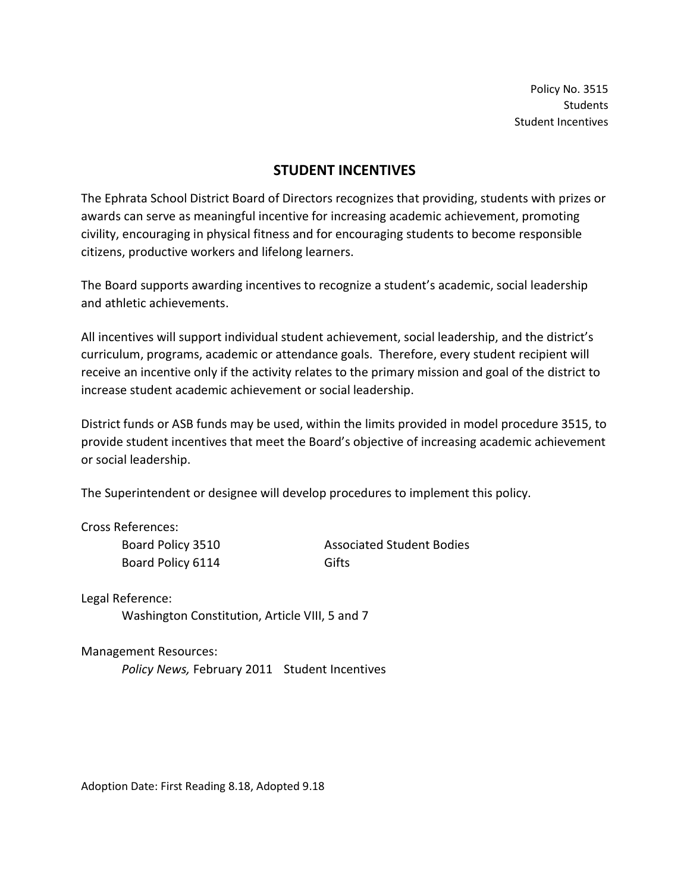Policy No. 3515 Students Student Incentives

### STUDENT INCENTIVES

The Ephrata School District Board of Directors recognizes that providing, students with prizes or awards can serve as meaningful incentive for increasing academic achievement, promoting civility, encouraging in physical fitness and for encouraging students to become responsible citizens, productive workers and lifelong learners.

The Board supports awarding incentives to recognize a student's academic, social leadership and athletic achievements.

All incentives will support individual student achievement, social leadership, and the district's curriculum, programs, academic or attendance goals. Therefore, every student recipient will receive an incentive only if the activity relates to the primary mission and goal of the district to increase student academic achievement or social leadership.

District funds or ASB funds may be used, within the limits provided in model procedure 3515, to provide student incentives that meet the Board's objective of increasing academic achievement or social leadership.

The Superintendent or designee will develop procedures to implement this policy.

Cross References:

Board Policy 6114 Gifts

Board Policy 3510 **Associated Student Bodies** 

Legal Reference: Washington Constitution, Article VIII, 5 and 7

Management Resources:

Policy News, February 2011 Student Incentives

Adoption Date: First Reading 8.18, Adopted 9.18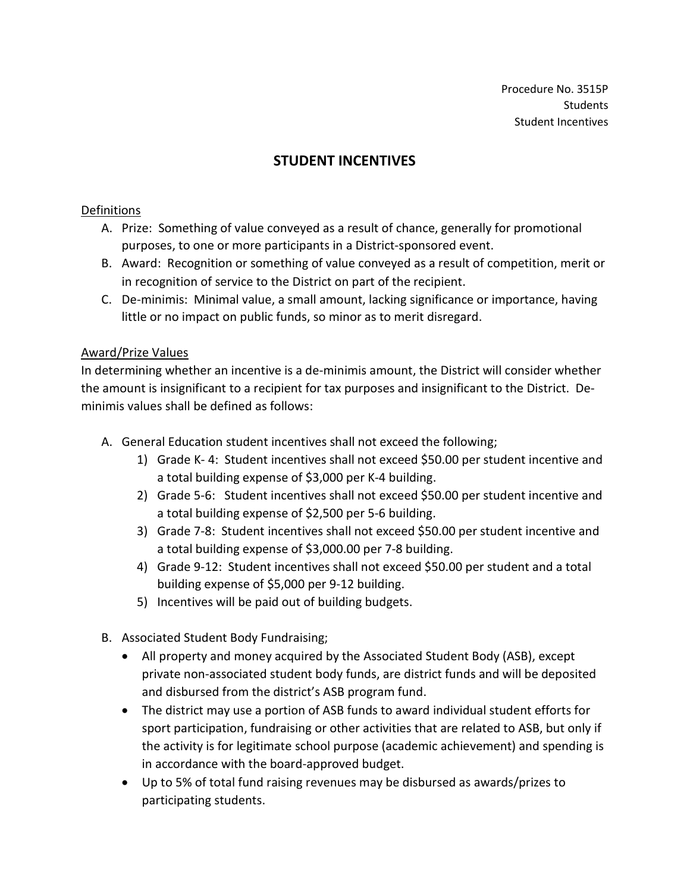# STUDENT INCENTIVES

### Definitions

- A. Prize: Something of value conveyed as a result of chance, generally for promotional purposes, to one or more participants in a District-sponsored event.
- B. Award: Recognition or something of value conveyed as a result of competition, merit or in recognition of service to the District on part of the recipient.
- C. De-minimis: Minimal value, a small amount, lacking significance or importance, having little or no impact on public funds, so minor as to merit disregard.

### Award/Prize Values

In determining whether an incentive is a de-minimis amount, the District will consider whether the amount is insignificant to a recipient for tax purposes and insignificant to the District. Deminimis values shall be defined as follows:

- A. General Education student incentives shall not exceed the following;
	- 1) Grade K- 4: Student incentives shall not exceed \$50.00 per student incentive and a total building expense of \$3,000 per K-4 building.
	- 2) Grade 5-6: Student incentives shall not exceed \$50.00 per student incentive and a total building expense of \$2,500 per 5-6 building.
	- 3) Grade 7-8: Student incentives shall not exceed \$50.00 per student incentive and a total building expense of \$3,000.00 per 7-8 building.
	- 4) Grade 9-12: Student incentives shall not exceed \$50.00 per student and a total building expense of \$5,000 per 9-12 building.
	- 5) Incentives will be paid out of building budgets.
- B. Associated Student Body Fundraising;
	- All property and money acquired by the Associated Student Body (ASB), except private non-associated student body funds, are district funds and will be deposited and disbursed from the district's ASB program fund.
	- The district may use a portion of ASB funds to award individual student efforts for sport participation, fundraising or other activities that are related to ASB, but only if the activity is for legitimate school purpose (academic achievement) and spending is in accordance with the board-approved budget.
	- Up to 5% of total fund raising revenues may be disbursed as awards/prizes to participating students.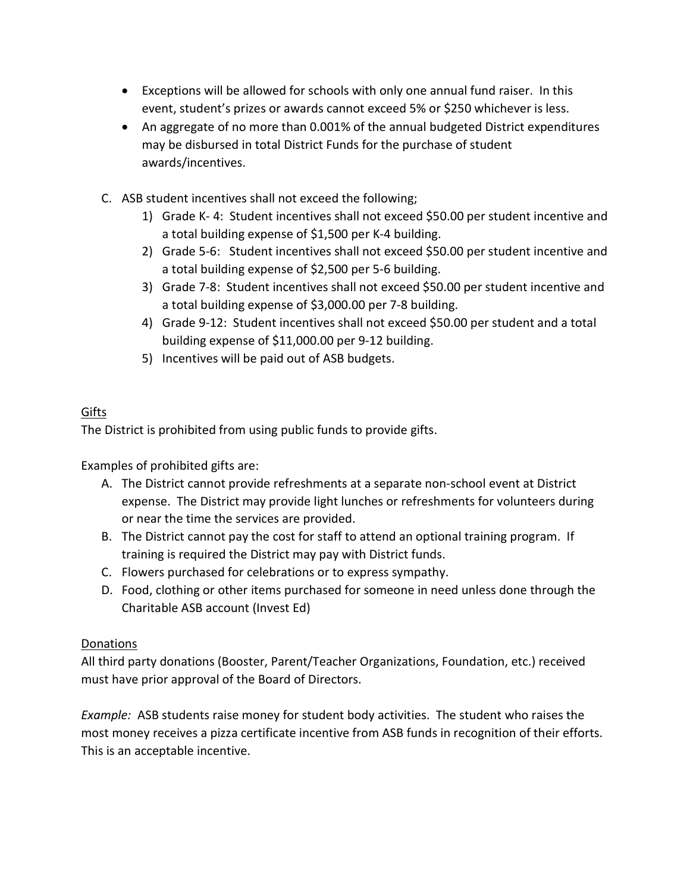- Exceptions will be allowed for schools with only one annual fund raiser. In this event, student's prizes or awards cannot exceed 5% or \$250 whichever is less.
- An aggregate of no more than 0.001% of the annual budgeted District expenditures may be disbursed in total District Funds for the purchase of student awards/incentives.
- C. ASB student incentives shall not exceed the following;
	- 1) Grade K- 4: Student incentives shall not exceed \$50.00 per student incentive and a total building expense of \$1,500 per K-4 building.
	- 2) Grade 5-6: Student incentives shall not exceed \$50.00 per student incentive and a total building expense of \$2,500 per 5-6 building.
	- 3) Grade 7-8: Student incentives shall not exceed \$50.00 per student incentive and a total building expense of \$3,000.00 per 7-8 building.
	- 4) Grade 9-12: Student incentives shall not exceed \$50.00 per student and a total building expense of \$11,000.00 per 9-12 building.
	- 5) Incentives will be paid out of ASB budgets.

## Gifts

The District is prohibited from using public funds to provide gifts.

Examples of prohibited gifts are:

- A. The District cannot provide refreshments at a separate non-school event at District expense. The District may provide light lunches or refreshments for volunteers during or near the time the services are provided.
- B. The District cannot pay the cost for staff to attend an optional training program. If training is required the District may pay with District funds.
- C. Flowers purchased for celebrations or to express sympathy.
- D. Food, clothing or other items purchased for someone in need unless done through the Charitable ASB account (Invest Ed)

### Donations

All third party donations (Booster, Parent/Teacher Organizations, Foundation, etc.) received must have prior approval of the Board of Directors.

Example: ASB students raise money for student body activities. The student who raises the most money receives a pizza certificate incentive from ASB funds in recognition of their efforts. This is an acceptable incentive.